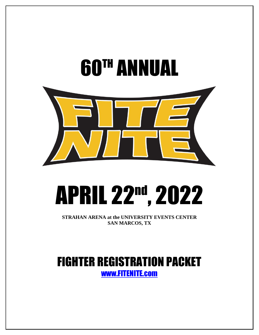

# APRIL 22nd, 2022

**STRAHAN ARENA at the UNIVERSITY EVENTS CENTER SAN MARCOS, TX**

# FIGHTER REGISTRATION PACKET [www.FITENITE.com](http://www.fitenite.com/)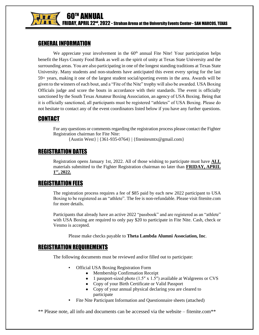

### GENERAL INFORMATION

We appreciate your involvement in the  $60<sup>th</sup>$  annual Fite Nite! Your participation helps benefit the Hays County Food Bank as well as the spirit of unity at Texas State University and the surrounding areas. You are also participating in one of the longest standing traditions at Texas State University. Many students and non-students have anticipated this event every spring for the last 59+ years, making it one of the largest student social/sporting events in the area. Awards will be given to the winners of each bout, and a "Fite of the Nite" trophy will also be awarded. USA Boxing Officials judge and score the bouts in accordance with their standards. The event is officially sanctioned by the South Texas Amateur Boxing Association, an agency of USA Boxing. Being that it is officially sanctioned, all participants must be registered "athletes" of USA Boxing. Please do not hesitate to contact any of the event coordinators listed below if you have any further questions.

# CONTACT

For any questions or comments regarding the registration process please contact the Fighter Registration chairman for Fite Nite:

{Austin West} | {361-935-0764} | {fitenitesmtx@gmail.com}

# REGISTRATION DATES

Registration opens January 1st, 2022. All of those wishing to participate must have **ALL** materials submitted to the Fighter Registration chairman no later than **FRIDAY, APRIL 1 ST , 2022.**

## REGISTRATION FEES

The registration process requires a fee of \$85 paid by each new 2022 participant to USA Boxing to be registered as an "athlete". The fee is non-refundable. Please visit fitenite.com for more details.

Participants that already have an active 2022 "passbook" and are registered as an "athlete" with USA Boxing are required to only pay \$20 to participate in Fite Nite. Cash, check or Venmo is accepted.

Please make checks payable to **Theta Lambda Alumni Association, Inc**.

#### REGISTRATION REQUIREMENTS

The following documents must be reviewed and/or filled out to participate:

- **Official USA Boxing Registration Form** 
	- Membership Confirmation Receipt
	- 1 passport-sized photo  $(1.5'' \times 1.5'')$  available at Walgreens or CVS
	- Copy of your Birth Certificate or Valid Passport
	- Copy of your annual physical declaring you are cleared to participate
- Fite Nite Participant Information and Questionnaire sheets (attached)

\*\* Please note, all info and documents can be accessed via the website – fitenite.com\*\*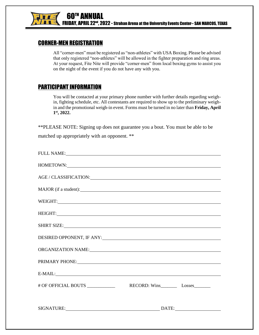

#### CORNER-MEN REGISTRATION

All "corner-men" must be registered as "non-athletes" with USA Boxing. Please be advised that only registered "non-athletes" will be allowed in the fighter preparation and ring areas. At your request, Fite Nite will provide "corner-men" from local boxing gyms to assist you on the night of the event if you do not have any with you.

#### PARTICIPANT INFORMATION

You will be contacted at your primary phone number with further details regarding weighin, fighting schedule, etc. All contestants are required to show up to the preliminary weighin and the promotional weigh-in event. Forms must be turned in no later than **Friday, April 1 st, 2022.**

\*\*PLEASE NOTE: Signing up does not guarantee you a bout. You must be able to be

matched up appropriately with an opponent. \*\*

| FULL NAME: Next and the set of the set of the set of the set of the set of the set of the set of the set of the set of the set of the set of the set of the set of the set of the set of the set of the set of the set of the  |  |
|--------------------------------------------------------------------------------------------------------------------------------------------------------------------------------------------------------------------------------|--|
| HOMETOWN:                                                                                                                                                                                                                      |  |
| AGE / CLASSIFICATION: NAME / CLASSIFICATION:                                                                                                                                                                                   |  |
|                                                                                                                                                                                                                                |  |
| WEIGHT:                                                                                                                                                                                                                        |  |
|                                                                                                                                                                                                                                |  |
| SHIRT SIZE: SHIRT SIZE:                                                                                                                                                                                                        |  |
| DESIRED OPPONENT, IF ANY:                                                                                                                                                                                                      |  |
| ORGANIZATION NAME: <b>Annual Community of American Community Community</b> Community Community Community Community Comm                                                                                                        |  |
| PRIMARY PHONE: VALUE AND A PRIMARY PHONE AND A PRIMARY PHONE AND A PARTICLE AND A PARTICLE AND A PARTICLE AND A PARTICLE AND A PARTICLE AND A PARTICLE AND A PARTICLE AND A PARTICLE AND A PARTICLE AND A PARTICLE AND A PARTI |  |
|                                                                                                                                                                                                                                |  |
|                                                                                                                                                                                                                                |  |
|                                                                                                                                                                                                                                |  |
| SIGNATURE: DATE: DATE:                                                                                                                                                                                                         |  |
|                                                                                                                                                                                                                                |  |